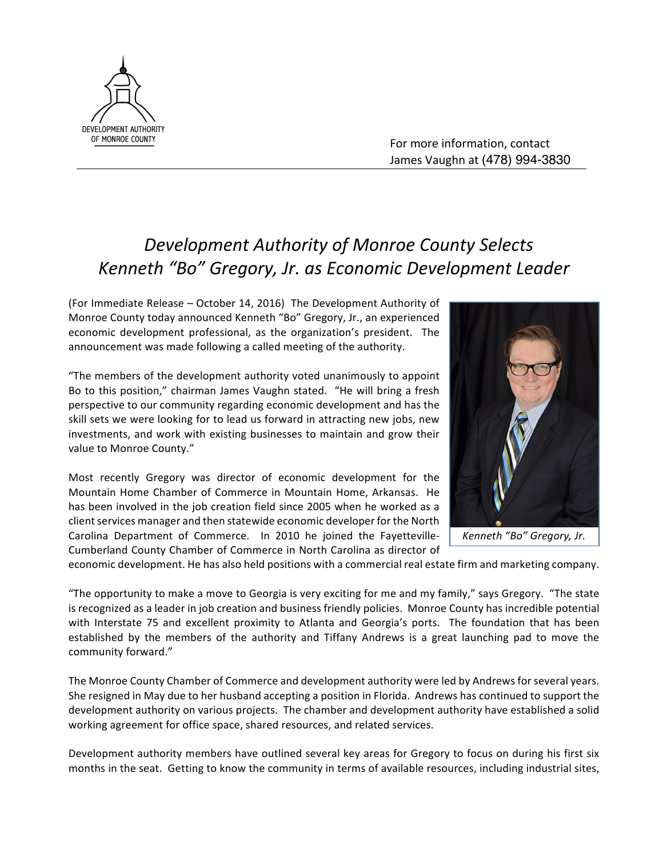

For more information, contact James Vaughn at (478) 994-3830

## **Development Authority of Monroe County Selects** *Kenneth "Bo" Gregory, Jr. as Economic Development Leader*

(For Immediate Release - October 14, 2016) The Development Authority of Monroe County today announced Kenneth "Bo" Gregory, Jr., an experienced economic development professional, as the organization's president. The announcement was made following a called meeting of the authority.

"The members of the development authority voted unanimously to appoint Bo to this position," chairman James Vaughn stated. "He will bring a fresh perspective to our community regarding economic development and has the skill sets we were looking for to lead us forward in attracting new jobs, new investments, and work with existing businesses to maintain and grow their value to Monroe County."

Most recently Gregory was director of economic development for the Mountain Home Chamber of Commerce in Mountain Home, Arkansas. He has been involved in the job creation field since 2005 when he worked as a client services manager and then statewide economic developer for the North Carolina Department of Commerce. In 2010 he joined the Fayetteville-Cumberland County Chamber of Commerce in North Carolina as director of



economic development. He has also held positions with a commercial real estate firm and marketing company.

"The opportunity to make a move to Georgia is very exciting for me and my family," says Gregory. "The state is recognized as a leader in job creation and business friendly policies. Monroe County has incredible potential with Interstate 75 and excellent proximity to Atlanta and Georgia's ports. The foundation that has been established by the members of the authority and Tiffany Andrews is a great launching pad to move the community forward."

The Monroe County Chamber of Commerce and development authority were led by Andrews for several years. She resigned in May due to her husband accepting a position in Florida. Andrews has continued to support the development authority on various projects. The chamber and development authority have established a solid working agreement for office space, shared resources, and related services.

Development authority members have outlined several key areas for Gregory to focus on during his first six months in the seat. Getting to know the community in terms of available resources, including industrial sites,